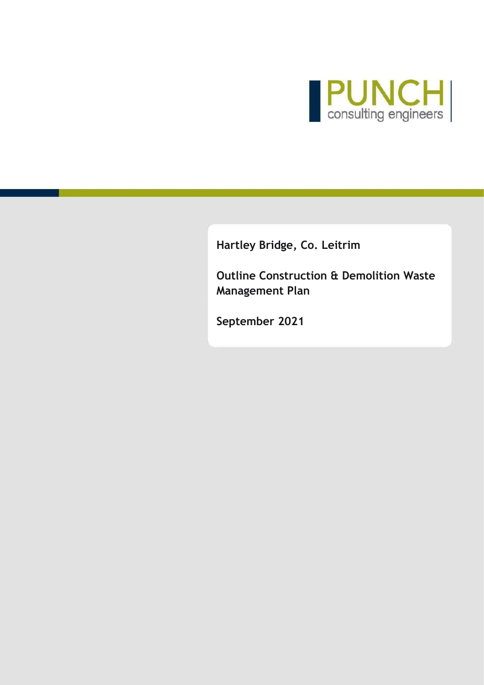

**Hartley Bridge, Co. Leitrim**

**Outline Construction & Demolition Waste Management Plan**

**September 2021**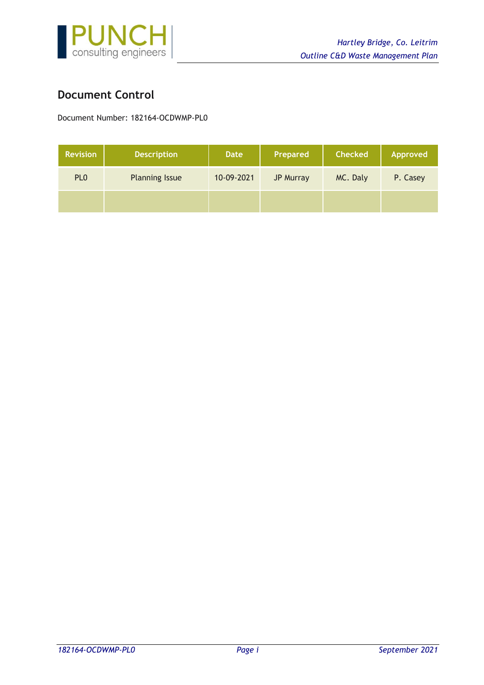

## <span id="page-1-0"></span>**Document Control**

Document Number: 182164-OCDWMP-PL0

| <b>Revision</b> | <b>Description</b>    | <b>Date</b> | Prepared         | <b>Checked</b> | <b>Approved</b> |
|-----------------|-----------------------|-------------|------------------|----------------|-----------------|
| PL <sub>0</sub> | <b>Planning Issue</b> | 10-09-2021  | <b>JP Murray</b> | MC. Daly       | P. Casey        |
|                 |                       |             |                  |                |                 |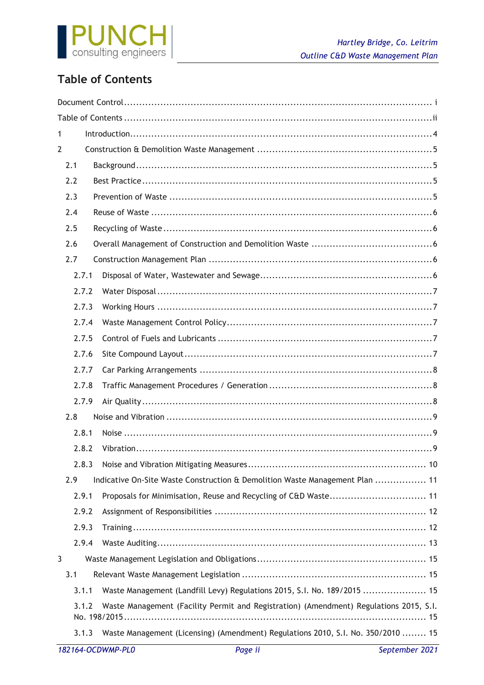

# <span id="page-2-0"></span>**Table of Contents**

| 1                 |                                                                                        |
|-------------------|----------------------------------------------------------------------------------------|
| $\overline{2}$    |                                                                                        |
| 2.1               |                                                                                        |
| 2.2               |                                                                                        |
| 2.3               |                                                                                        |
| 2.4               |                                                                                        |
| 2.5               |                                                                                        |
| 2.6               |                                                                                        |
| 2.7               |                                                                                        |
| 2.7.1             |                                                                                        |
| 2.7.2             |                                                                                        |
| 2.7.3             |                                                                                        |
| 2.7.4             |                                                                                        |
| 2.7.5             |                                                                                        |
| 2.7.6             |                                                                                        |
| 2.7.7             |                                                                                        |
| 2.7.8             |                                                                                        |
| 2.7.9             |                                                                                        |
| 2.8               |                                                                                        |
| 2.8.1             |                                                                                        |
| 2.8.2             |                                                                                        |
| 2.8.3             |                                                                                        |
| 2.9               | Indicative On-Site Waste Construction & Demolition Waste Management Plan  11           |
| 2.9.1             | Proposals for Minimisation, Reuse and Recycling of C&D Waste 11                        |
| 2.9.2             |                                                                                        |
| 2.9.3             |                                                                                        |
| 2.9.4             |                                                                                        |
| 3                 |                                                                                        |
| 3.1               |                                                                                        |
| 3.1.1             | Waste Management (Landfill Levy) Regulations 2015, S.I. No. 189/2015  15               |
| 3.1.2             | Waste Management (Facility Permit and Registration) (Amendment) Regulations 2015, S.I. |
|                   |                                                                                        |
| 3.1.3             | Waste Management (Licensing) (Amendment) Regulations 2010, S.I. No. 350/2010  15       |
| 182164-OCDWMP-PL0 | Page ii<br>September 2021                                                              |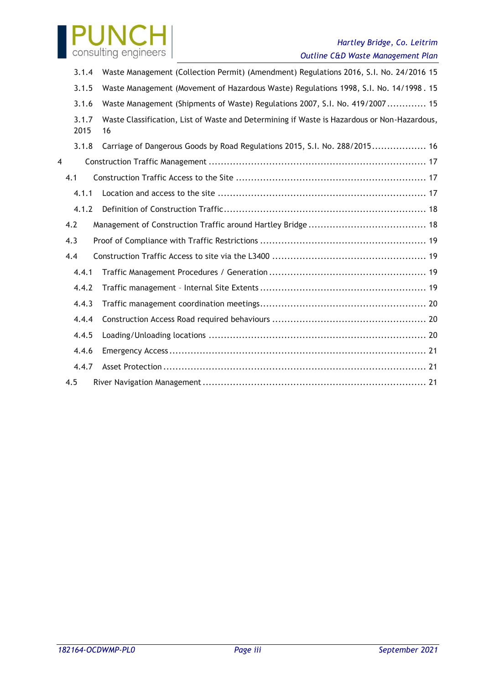

## *Hartley Bridge, Co. Leitrim Outline C&D Waste Management Plan*

|       | 3.1.4         | Waste Management (Collection Permit) (Amendment) Regulations 2016, S.I. No. 24/2016 15            |
|-------|---------------|---------------------------------------------------------------------------------------------------|
| 3.1.5 |               | Waste Management (Movement of Hazardous Waste) Regulations 1998, S.I. No. 14/1998. 15             |
|       | 3.1.6         | Waste Management (Shipments of Waste) Regulations 2007, S.I. No. 419/2007 15                      |
|       | 3.1.7<br>2015 | Waste Classification, List of Waste and Determining if Waste is Hazardous or Non-Hazardous,<br>16 |
|       | 3.1.8         | Carriage of Dangerous Goods by Road Regulations 2015, S.I. No. 288/2015 16                        |
| 4     |               |                                                                                                   |
|       | 4.1           |                                                                                                   |
|       | 4.1.1         |                                                                                                   |
|       | 4.1.2         |                                                                                                   |
|       | 4.2           |                                                                                                   |
|       | 4.3           |                                                                                                   |
|       | 4.4           |                                                                                                   |
|       | 4.4.1         |                                                                                                   |
|       | 4.4.2         |                                                                                                   |
|       | 4.4.3         |                                                                                                   |
|       | 4.4.4         |                                                                                                   |
|       | 4.4.5         |                                                                                                   |
|       | 4.4.6         |                                                                                                   |
|       | 4.4.7         |                                                                                                   |
|       | 4.5           |                                                                                                   |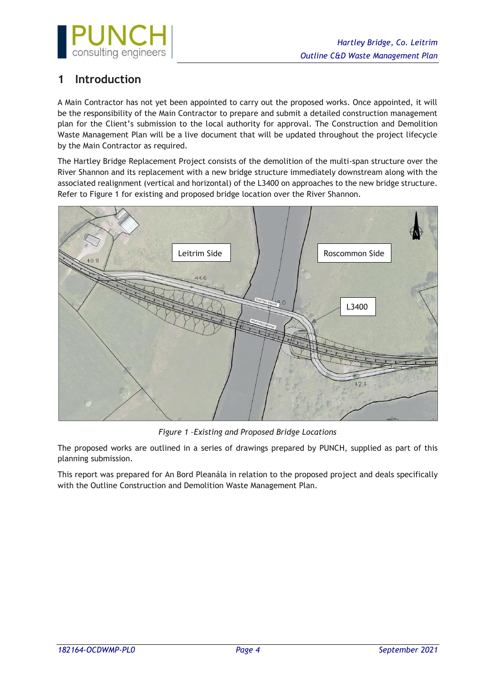

## <span id="page-4-0"></span>**1 Introduction**

A Main Contractor has not yet been appointed to carry out the proposed works. Once appointed, it will be the responsibility of the Main Contractor to prepare and submit a detailed construction management plan for the Client's submission to the local authority for approval. The Construction and Demolition Waste Management Plan will be a live document that will be updated throughout the project lifecycle by the Main Contractor as required.

The Hartley Bridge Replacement Project consists of the demolition of the multi-span structure over the River Shannon and its replacement with a new bridge structure immediately downstream along with the associated realignment (vertical and horizontal) of the L3400 on approaches to the new bridge structure. Refer to Figure 1 for existing and proposed bridge location over the River Shannon.



*Figure 1 –Existing and Proposed Bridge Locations*

The proposed works are outlined in a series of drawings prepared by PUNCH, supplied as part of this planning submission.

This report was prepared for An Bord Pleanála in relation to the proposed project and deals specifically with the Outline Construction and Demolition Waste Management Plan.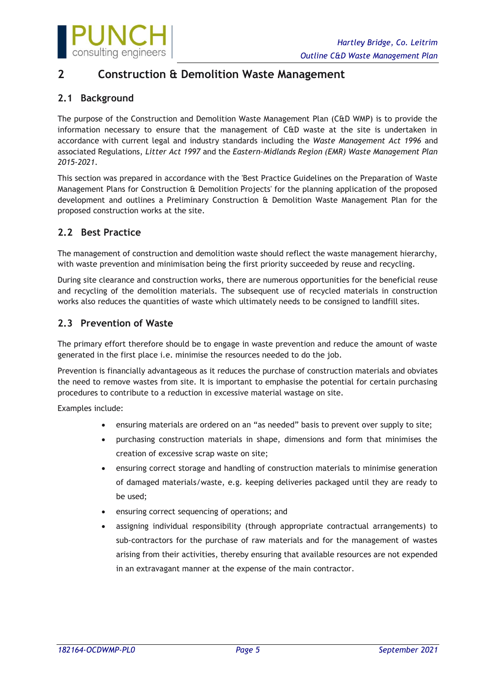

## <span id="page-5-0"></span>**2 Construction & Demolition Waste Management**

## <span id="page-5-1"></span>**2.1 Background**

The purpose of the Construction and Demolition Waste Management Plan (C&D WMP) is to provide the information necessary to ensure that the management of C&D waste at the site is undertaken in accordance with current legal and industry standards including the *Waste Management Act 1996* and associated Regulations, *Litter Act 1997* and the *Eastern-Midlands Region (EMR) Waste Management Plan 2015-2021*.

This section was prepared in accordance with the 'Best Practice Guidelines on the Preparation of Waste Management Plans for Construction & Demolition Projects' for the planning application of the proposed development and outlines a Preliminary Construction & Demolition Waste Management Plan for the proposed construction works at the site.

## <span id="page-5-2"></span>**2.2 Best Practice**

The management of construction and demolition waste should reflect the waste management hierarchy, with waste prevention and minimisation being the first priority succeeded by reuse and recycling.

During site clearance and construction works, there are numerous opportunities for the beneficial reuse and recycling of the demolition materials. The subsequent use of recycled materials in construction works also reduces the quantities of waste which ultimately needs to be consigned to landfill sites.

## <span id="page-5-3"></span>**2.3 Prevention of Waste**

The primary effort therefore should be to engage in waste prevention and reduce the amount of waste generated in the first place i.e. minimise the resources needed to do the job.

Prevention is financially advantageous as it reduces the purchase of construction materials and obviates the need to remove wastes from site. It is important to emphasise the potential for certain purchasing procedures to contribute to a reduction in excessive material wastage on site.

Examples include:

- ensuring materials are ordered on an "as needed" basis to prevent over supply to site;
- purchasing construction materials in shape, dimensions and form that minimises the creation of excessive scrap waste on site;
- ensuring correct storage and handling of construction materials to minimise generation of damaged materials/waste, e.g. keeping deliveries packaged until they are ready to be used;
- ensuring correct sequencing of operations; and
- assigning individual responsibility (through appropriate contractual arrangements) to sub-contractors for the purchase of raw materials and for the management of wastes arising from their activities, thereby ensuring that available resources are not expended in an extravagant manner at the expense of the main contractor.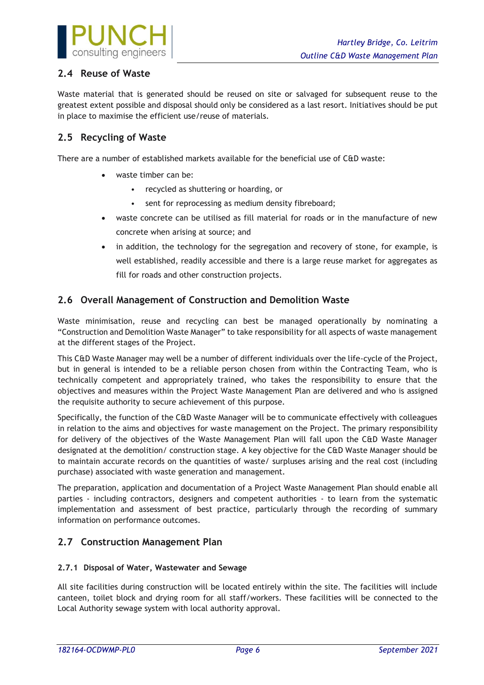

## <span id="page-6-0"></span>**2.4 Reuse of Waste**

Waste material that is generated should be reused on site or salvaged for subsequent reuse to the greatest extent possible and disposal should only be considered as a last resort. Initiatives should be put in place to maximise the efficient use/reuse of materials.

## <span id="page-6-1"></span>**2.5 Recycling of Waste**

There are a number of established markets available for the beneficial use of C&D waste:

- waste timber can be:
	- recycled as shuttering or hoarding, or
	- sent for reprocessing as medium density fibreboard;
- waste concrete can be utilised as fill material for roads or in the manufacture of new concrete when arising at source; and
- in addition, the technology for the segregation and recovery of stone, for example, is well established, readily accessible and there is a large reuse market for aggregates as fill for roads and other construction projects.

## <span id="page-6-2"></span>**2.6 Overall Management of Construction and Demolition Waste**

Waste minimisation, reuse and recycling can best be managed operationally by nominating a "Construction and Demolition Waste Manager" to take responsibility for all aspects of waste management at the different stages of the Project.

This C&D Waste Manager may well be a number of different individuals over the life-cycle of the Project, but in general is intended to be a reliable person chosen from within the Contracting Team, who is technically competent and appropriately trained, who takes the responsibility to ensure that the objectives and measures within the Project Waste Management Plan are delivered and who is assigned the requisite authority to secure achievement of this purpose.

Specifically, the function of the C&D Waste Manager will be to communicate effectively with colleagues in relation to the aims and objectives for waste management on the Project. The primary responsibility for delivery of the objectives of the Waste Management Plan will fall upon the C&D Waste Manager designated at the demolition/ construction stage. A key objective for the C&D Waste Manager should be to maintain accurate records on the quantities of waste/ surpluses arising and the real cost (including purchase) associated with waste generation and management.

The preparation, application and documentation of a Project Waste Management Plan should enable all parties - including contractors, designers and competent authorities - to learn from the systematic implementation and assessment of best practice, particularly through the recording of summary information on performance outcomes.

## <span id="page-6-3"></span>**2.7 Construction Management Plan**

### <span id="page-6-4"></span>**2.7.1 Disposal of Water, Wastewater and Sewage**

All site facilities during construction will be located entirely within the site. The facilities will include canteen, toilet block and drying room for all staff/workers. These facilities will be connected to the Local Authority sewage system with local authority approval.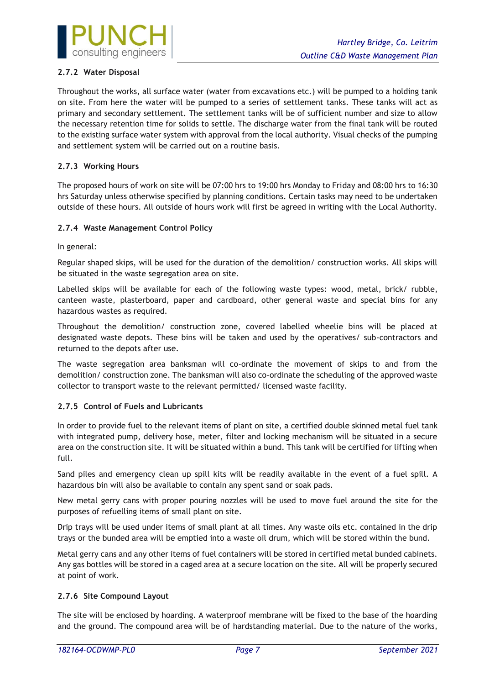

### <span id="page-7-0"></span>**2.7.2 Water Disposal**

Throughout the works, all surface water (water from excavations etc.) will be pumped to a holding tank on site. From here the water will be pumped to a series of settlement tanks. These tanks will act as primary and secondary settlement. The settlement tanks will be of sufficient number and size to allow the necessary retention time for solids to settle. The discharge water from the final tank will be routed to the existing surface water system with approval from the local authority. Visual checks of the pumping and settlement system will be carried out on a routine basis.

### <span id="page-7-1"></span>**2.7.3 Working Hours**

The proposed hours of work on site will be 07:00 hrs to 19:00 hrs Monday to Friday and 08:00 hrs to 16:30 hrs Saturday unless otherwise specified by planning conditions. Certain tasks may need to be undertaken outside of these hours. All outside of hours work will first be agreed in writing with the Local Authority.

### <span id="page-7-2"></span>**2.7.4 Waste Management Control Policy**

In general:

Regular shaped skips, will be used for the duration of the demolition/ construction works. All skips will be situated in the waste segregation area on site.

Labelled skips will be available for each of the following waste types: wood, metal, brick/ rubble, canteen waste, plasterboard, paper and cardboard, other general waste and special bins for any hazardous wastes as required.

Throughout the demolition/ construction zone, covered labelled wheelie bins will be placed at designated waste depots. These bins will be taken and used by the operatives/ sub-contractors and returned to the depots after use.

The waste segregation area banksman will co-ordinate the movement of skips to and from the demolition/ construction zone. The banksman will also co-ordinate the scheduling of the approved waste collector to transport waste to the relevant permitted/ licensed waste facility.

### <span id="page-7-3"></span>**2.7.5 Control of Fuels and Lubricants**

In order to provide fuel to the relevant items of plant on site, a certified double skinned metal fuel tank with integrated pump, delivery hose, meter, filter and locking mechanism will be situated in a secure area on the construction site. It will be situated within a bund. This tank will be certified for lifting when full.

Sand piles and emergency clean up spill kits will be readily available in the event of a fuel spill. A hazardous bin will also be available to contain any spent sand or soak pads.

New metal gerry cans with proper pouring nozzles will be used to move fuel around the site for the purposes of refuelling items of small plant on site.

Drip trays will be used under items of small plant at all times. Any waste oils etc. contained in the drip trays or the bunded area will be emptied into a waste oil drum, which will be stored within the bund.

Metal gerry cans and any other items of fuel containers will be stored in certified metal bunded cabinets. Any gas bottles will be stored in a caged area at a secure location on the site. All will be properly secured at point of work.

### <span id="page-7-4"></span>**2.7.6 Site Compound Layout**

The site will be enclosed by hoarding. A waterproof membrane will be fixed to the base of the hoarding and the ground. The compound area will be of hardstanding material. Due to the nature of the works,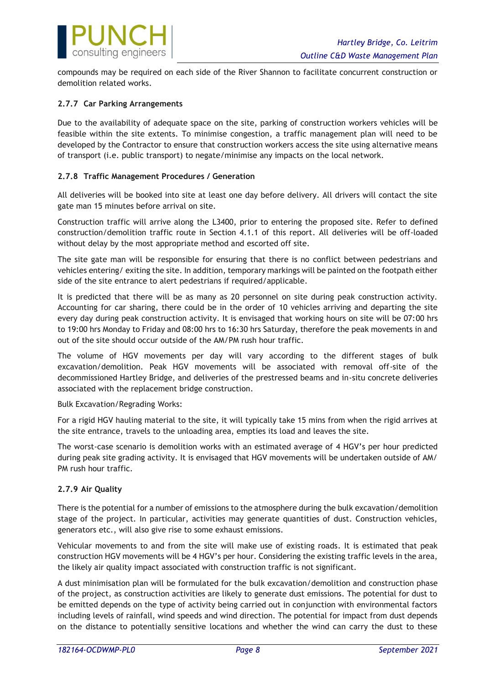

compounds may be required on each side of the River Shannon to facilitate concurrent construction or demolition related works.

### <span id="page-8-0"></span>**2.7.7 Car Parking Arrangements**

Due to the availability of adequate space on the site, parking of construction workers vehicles will be feasible within the site extents. To minimise congestion, a traffic management plan will need to be developed by the Contractor to ensure that construction workers access the site using alternative means of transport (i.e. public transport) to negate/minimise any impacts on the local network.

### <span id="page-8-1"></span>**2.7.8 Traffic Management Procedures / Generation**

All deliveries will be booked into site at least one day before delivery. All drivers will contact the site gate man 15 minutes before arrival on site.

Construction traffic will arrive along the L3400, prior to entering the proposed site. Refer to defined construction/demolition traffic route in Section 4.1.1 of this report. All deliveries will be off-loaded without delay by the most appropriate method and escorted off site.

The site gate man will be responsible for ensuring that there is no conflict between pedestrians and vehicles entering/ exiting the site. In addition, temporary markings will be painted on the footpath either side of the site entrance to alert pedestrians if required/applicable.

It is predicted that there will be as many as 20 personnel on site during peak construction activity. Accounting for car sharing, there could be in the order of 10 vehicles arriving and departing the site every day during peak construction activity. It is envisaged that working hours on site will be 07:00 hrs to 19:00 hrs Monday to Friday and 08:00 hrs to 16:30 hrs Saturday, therefore the peak movements in and out of the site should occur outside of the AM/PM rush hour traffic.

The volume of HGV movements per day will vary according to the different stages of bulk excavation/demolition. Peak HGV movements will be associated with removal off-site of the decommissioned Hartley Bridge, and deliveries of the prestressed beams and in-situ concrete deliveries associated with the replacement bridge construction.

Bulk Excavation/Regrading Works:

For a rigid HGV hauling material to the site, it will typically take 15 mins from when the rigid arrives at the site entrance, travels to the unloading area, empties its load and leaves the site.

The worst-case scenario is demolition works with an estimated average of 4 HGV's per hour predicted during peak site grading activity. It is envisaged that HGV movements will be undertaken outside of AM/ PM rush hour traffic.

### <span id="page-8-2"></span>**2.7.9 Air Quality**

There is the potential for a number of emissions to the atmosphere during the bulk excavation/demolition stage of the project. In particular, activities may generate quantities of dust. Construction vehicles, generators etc., will also give rise to some exhaust emissions.

Vehicular movements to and from the site will make use of existing roads. It is estimated that peak construction HGV movements will be 4 HGV's per hour. Considering the existing traffic levels in the area, the likely air quality impact associated with construction traffic is not significant.

A dust minimisation plan will be formulated for the bulk excavation/demolition and construction phase of the project, as construction activities are likely to generate dust emissions. The potential for dust to be emitted depends on the type of activity being carried out in conjunction with environmental factors including levels of rainfall, wind speeds and wind direction. The potential for impact from dust depends on the distance to potentially sensitive locations and whether the wind can carry the dust to these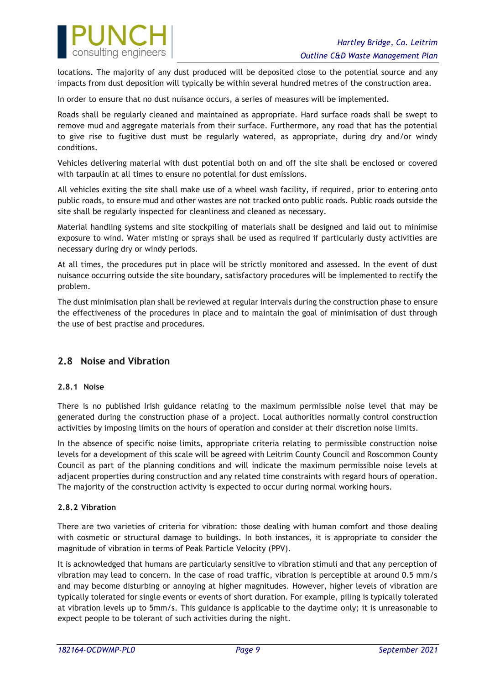

locations. The majority of any dust produced will be deposited close to the potential source and any impacts from dust deposition will typically be within several hundred metres of the construction area.

In order to ensure that no dust nuisance occurs, a series of measures will be implemented.

Roads shall be regularly cleaned and maintained as appropriate. Hard surface roads shall be swept to remove mud and aggregate materials from their surface. Furthermore, any road that has the potential to give rise to fugitive dust must be regularly watered, as appropriate, during dry and/or windy conditions.

Vehicles delivering material with dust potential both on and off the site shall be enclosed or covered with tarpaulin at all times to ensure no potential for dust emissions.

All vehicles exiting the site shall make use of a wheel wash facility, if required, prior to entering onto public roads, to ensure mud and other wastes are not tracked onto public roads. Public roads outside the site shall be regularly inspected for cleanliness and cleaned as necessary.

Material handling systems and site stockpiling of materials shall be designed and laid out to minimise exposure to wind. Water misting or sprays shall be used as required if particularly dusty activities are necessary during dry or windy periods.

At all times, the procedures put in place will be strictly monitored and assessed. In the event of dust nuisance occurring outside the site boundary, satisfactory procedures will be implemented to rectify the problem.

The dust minimisation plan shall be reviewed at regular intervals during the construction phase to ensure the effectiveness of the procedures in place and to maintain the goal of minimisation of dust through the use of best practise and procedures.

## <span id="page-9-0"></span>**2.8 Noise and Vibration**

### <span id="page-9-1"></span>**2.8.1 Noise**

There is no published Irish guidance relating to the maximum permissible noise level that may be generated during the construction phase of a project. Local authorities normally control construction activities by imposing limits on the hours of operation and consider at their discretion noise limits.

In the absence of specific noise limits, appropriate criteria relating to permissible construction noise levels for a development of this scale will be agreed with Leitrim County Council and Roscommon County Council as part of the planning conditions and will indicate the maximum permissible noise levels at adjacent properties during construction and any related time constraints with regard hours of operation. The majority of the construction activity is expected to occur during normal working hours.

### <span id="page-9-2"></span>**2.8.2 Vibration**

There are two varieties of criteria for vibration: those dealing with human comfort and those dealing with cosmetic or structural damage to buildings. In both instances, it is appropriate to consider the magnitude of vibration in terms of Peak Particle Velocity (PPV).

It is acknowledged that humans are particularly sensitive to vibration stimuli and that any perception of vibration may lead to concern. In the case of road traffic, vibration is perceptible at around 0.5 mm/s and may become disturbing or annoying at higher magnitudes. However, higher levels of vibration are typically tolerated for single events or events of short duration. For example, piling is typically tolerated at vibration levels up to 5mm/s. This guidance is applicable to the daytime only; it is unreasonable to expect people to be tolerant of such activities during the night.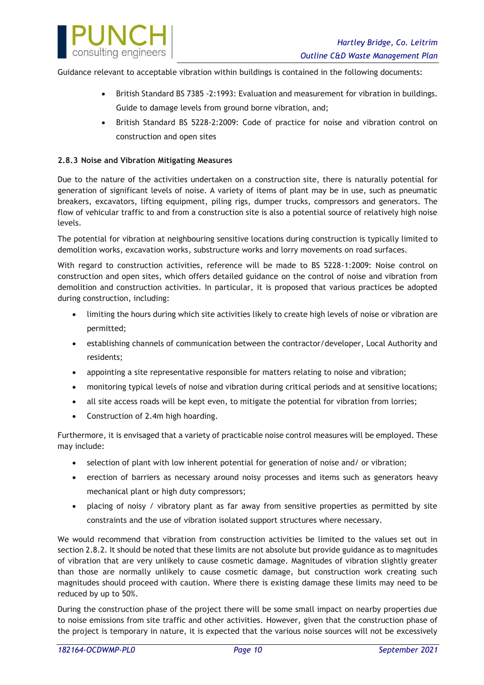

Guidance relevant to acceptable vibration within buildings is contained in the following documents:

- British Standard BS 7385 -2:1993: Evaluation and measurement for vibration in buildings. Guide to damage levels from ground borne vibration, and;
- British Standard BS 5228-2:2009: Code of practice for noise and vibration control on construction and open sites

### <span id="page-10-0"></span>**2.8.3 Noise and Vibration Mitigating Measures**

Due to the nature of the activities undertaken on a construction site, there is naturally potential for generation of significant levels of noise. A variety of items of plant may be in use, such as pneumatic breakers, excavators, lifting equipment, piling rigs, dumper trucks, compressors and generators. The flow of vehicular traffic to and from a construction site is also a potential source of relatively high noise levels.

The potential for vibration at neighbouring sensitive locations during construction is typically limited to demolition works, excavation works, substructure works and lorry movements on road surfaces.

With regard to construction activities, reference will be made to BS 5228-1:2009: Noise control on construction and open sites, which offers detailed guidance on the control of noise and vibration from demolition and construction activities. In particular, it is proposed that various practices be adopted during construction, including:

- limiting the hours during which site activities likely to create high levels of noise or vibration are permitted;
- establishing channels of communication between the contractor/developer, Local Authority and residents;
- appointing a site representative responsible for matters relating to noise and vibration;
- monitoring typical levels of noise and vibration during critical periods and at sensitive locations;
- all site access roads will be kept even, to mitigate the potential for vibration from lorries;
- Construction of 2.4m high hoarding.

Furthermore, it is envisaged that a variety of practicable noise control measures will be employed. These may include:

- selection of plant with low inherent potential for generation of noise and/ or vibration;
- erection of barriers as necessary around noisy processes and items such as generators heavy mechanical plant or high duty compressors;
- placing of noisy / vibratory plant as far away from sensitive properties as permitted by site constraints and the use of vibration isolated support structures where necessary.

We would recommend that vibration from construction activities be limited to the values set out in section [2.8.2.](#page-9-2) It should be noted that these limits are not absolute but provide guidance as to magnitudes of vibration that are very unlikely to cause cosmetic damage. Magnitudes of vibration slightly greater than those are normally unlikely to cause cosmetic damage, but construction work creating such magnitudes should proceed with caution. Where there is existing damage these limits may need to be reduced by up to 50%.

During the construction phase of the project there will be some small impact on nearby properties due to noise emissions from site traffic and other activities. However, given that the construction phase of the project is temporary in nature, it is expected that the various noise sources will not be excessively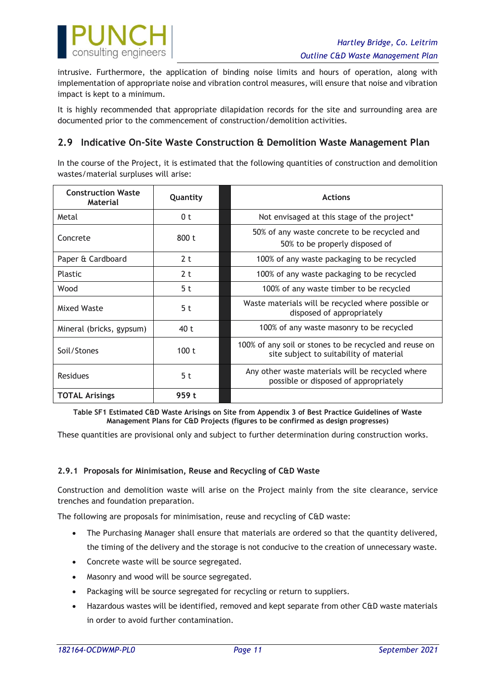

intrusive. Furthermore, the application of binding noise limits and hours of operation, along with implementation of appropriate noise and vibration control measures, will ensure that noise and vibration impact is kept to a minimum.

It is highly recommended that appropriate dilapidation records for the site and surrounding area are documented prior to the commencement of construction/demolition activities.

## <span id="page-11-0"></span>**2.9 Indicative On-Site Waste Construction & Demolition Waste Management Plan**

In the course of the Project, it is estimated that the following quantities of construction and demolition wastes/material surpluses will arise:

| <b>Construction Waste</b><br><b>Material</b> | Quantity       | <b>Actions</b>                                                                                    |  |
|----------------------------------------------|----------------|---------------------------------------------------------------------------------------------------|--|
| Metal                                        | 0 <sub>t</sub> | Not envisaged at this stage of the project*                                                       |  |
| Concrete                                     | 800 t          | 50% of any waste concrete to be recycled and<br>50% to be properly disposed of                    |  |
| Paper & Cardboard                            | 2 <sub>t</sub> | 100% of any waste packaging to be recycled                                                        |  |
| Plastic                                      | 2 <sub>t</sub> | 100% of any waste packaging to be recycled                                                        |  |
| Wood                                         | 5 <sub>t</sub> | 100% of any waste timber to be recycled                                                           |  |
| Mixed Waste                                  | 5 t            | Waste materials will be recycled where possible or<br>disposed of appropriately                   |  |
| Mineral (bricks, gypsum)                     | 40 t           | 100% of any waste masonry to be recycled                                                          |  |
| Soil/Stones                                  | 100t           | 100% of any soil or stones to be recycled and reuse on<br>site subject to suitability of material |  |
| <b>Residues</b>                              | 5 t            | Any other waste materials will be recycled where<br>possible or disposed of appropriately         |  |
| <b>TOTAL Arisings</b>                        | 959 t          |                                                                                                   |  |

**Table SF1 Estimated C&D Waste Arisings on Site from Appendix 3 of Best Practice Guidelines of Waste Management Plans for C&D Projects (figures to be confirmed as design progresses)**

These quantities are provisional only and subject to further determination during construction works.

### <span id="page-11-1"></span>**2.9.1 Proposals for Minimisation, Reuse and Recycling of C&D Waste**

Construction and demolition waste will arise on the Project mainly from the site clearance, service trenches and foundation preparation.

The following are proposals for minimisation, reuse and recycling of C&D waste:

- The Purchasing Manager shall ensure that materials are ordered so that the quantity delivered, the timing of the delivery and the storage is not conducive to the creation of unnecessary waste.
- Concrete waste will be source segregated.
- Masonry and wood will be source segregated.
- Packaging will be source segregated for recycling or return to suppliers.
- Hazardous wastes will be identified, removed and kept separate from other C&D waste materials in order to avoid further contamination.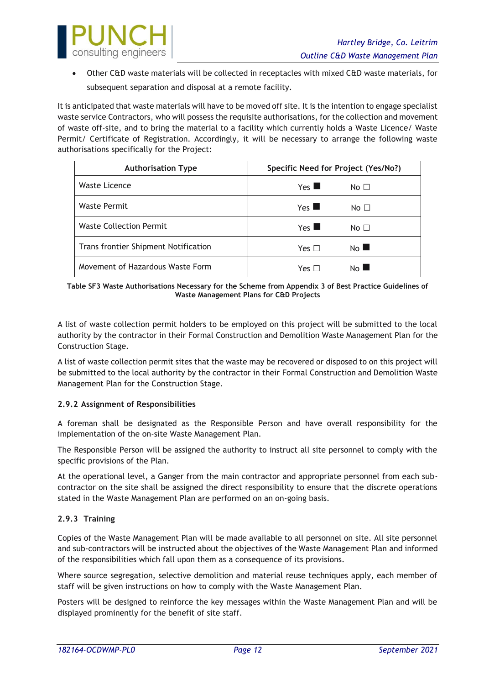

• Other C&D waste materials will be collected in receptacles with mixed C&D waste materials, for subsequent separation and disposal at a remote facility.

It is anticipated that waste materials will have to be moved off site. It is the intention to engage specialist waste service Contractors, who will possess the requisite authorisations, for the collection and movement of waste off-site, and to bring the material to a facility which currently holds a Waste Licence/ Waste Permit/ Certificate of Registration. Accordingly, it will be necessary to arrange the following waste authorisations specifically for the Project:

| <b>Authorisation Type</b>            | Specific Need for Project (Yes/No?)   |
|--------------------------------------|---------------------------------------|
| Waste Licence                        | $Yes \blacksquare$<br>No <sub>1</sub> |
| <b>Waste Permit</b>                  | $Yes \blacksquare$<br>No $\Box$       |
| <b>Waste Collection Permit</b>       | $Yes \blacksquare$<br>No <sub>1</sub> |
| Trans frontier Shipment Notification | No I<br>Yes $\Box$                    |
| Movement of Hazardous Waste Form     | No l<br>Үеѕ ∏                         |

#### **Table SF3 Waste Authorisations Necessary for the Scheme from Appendix 3 of Best Practice Guidelines of Waste Management Plans for C&D Projects**

A list of waste collection permit holders to be employed on this project will be submitted to the local authority by the contractor in their Formal Construction and Demolition Waste Management Plan for the Construction Stage.

A list of waste collection permit sites that the waste may be recovered or disposed to on this project will be submitted to the local authority by the contractor in their Formal Construction and Demolition Waste Management Plan for the Construction Stage.

### <span id="page-12-0"></span>**2.9.2 Assignment of Responsibilities**

A foreman shall be designated as the Responsible Person and have overall responsibility for the implementation of the on-site Waste Management Plan.

The Responsible Person will be assigned the authority to instruct all site personnel to comply with the specific provisions of the Plan.

At the operational level, a Ganger from the main contractor and appropriate personnel from each subcontractor on the site shall be assigned the direct responsibility to ensure that the discrete operations stated in the Waste Management Plan are performed on an on-going basis.

### <span id="page-12-1"></span>**2.9.3 Training**

Copies of the Waste Management Plan will be made available to all personnel on site. All site personnel and sub-contractors will be instructed about the objectives of the Waste Management Plan and informed of the responsibilities which fall upon them as a consequence of its provisions.

Where source segregation, selective demolition and material reuse techniques apply, each member of staff will be given instructions on how to comply with the Waste Management Plan.

Posters will be designed to reinforce the key messages within the Waste Management Plan and will be displayed prominently for the benefit of site staff.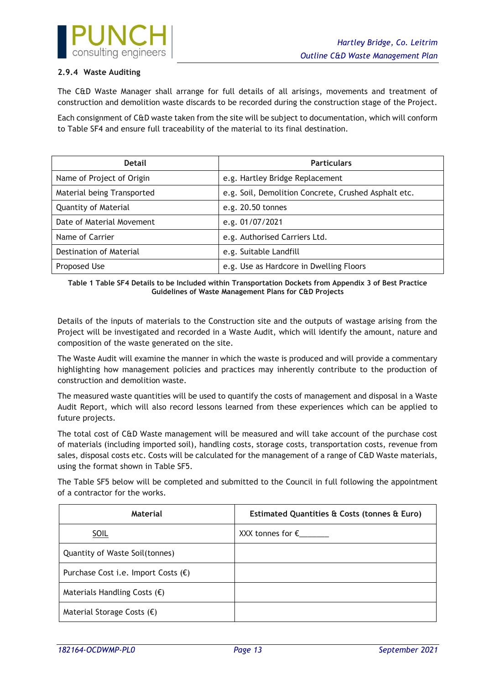

### <span id="page-13-0"></span>**2.9.4 Waste Auditing**

The C&D Waste Manager shall arrange for full details of all arisings, movements and treatment of construction and demolition waste discards to be recorded during the construction stage of the Project.

Each consignment of C&D waste taken from the site will be subject to documentation, which will conform to Table SF4 and ensure full traceability of the material to its final destination.

| <b>Detail</b>              | <b>Particulars</b>                                   |
|----------------------------|------------------------------------------------------|
| Name of Project of Origin  | e.g. Hartley Bridge Replacement                      |
| Material being Transported | e.g. Soil, Demolition Concrete, Crushed Asphalt etc. |
| Quantity of Material       | e.g. 20.50 tonnes                                    |
| Date of Material Movement  | e.g. 01/07/2021                                      |
| Name of Carrier            | e.g. Authorised Carriers Ltd.                        |
| Destination of Material    | e.g. Suitable Landfill                               |
| Proposed Use               | e.g. Use as Hardcore in Dwelling Floors              |

**Table 1 Table SF4 Details to be Included within Transportation Dockets from Appendix 3 of Best Practice Guidelines of Waste Management Plans for C&D Projects**

Details of the inputs of materials to the Construction site and the outputs of wastage arising from the Project will be investigated and recorded in a Waste Audit, which will identify the amount, nature and composition of the waste generated on the site.

The Waste Audit will examine the manner in which the waste is produced and will provide a commentary highlighting how management policies and practices may inherently contribute to the production of construction and demolition waste.

The measured waste quantities will be used to quantify the costs of management and disposal in a Waste Audit Report, which will also record lessons learned from these experiences which can be applied to future projects.

The total cost of C&D Waste management will be measured and will take account of the purchase cost of materials (including imported soil), handling costs, storage costs, transportation costs, revenue from sales, disposal costs etc. Costs will be calculated for the management of a range of C&D Waste materials, using the format shown in Table SF5.

The Table SF5 below will be completed and submitted to the Council in full following the appointment of a contractor for the works.

| Material                                     | Estimated Quantities & Costs (tonnes & Euro) |
|----------------------------------------------|----------------------------------------------|
| SOIL                                         |                                              |
| Quantity of Waste Soil(tonnes)               |                                              |
| Purchase Cost i.e. Import Costs $(\epsilon)$ |                                              |
| Materials Handling Costs $(\epsilon)$        |                                              |
| Material Storage Costs $(\epsilon)$          |                                              |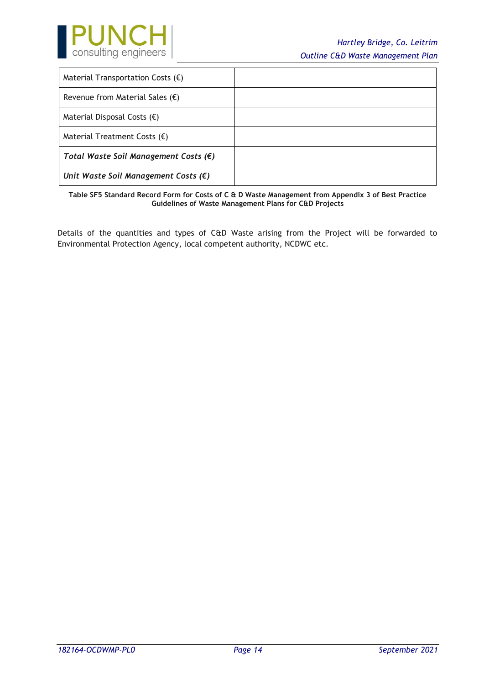

| Material Transportation Costs $(\epsilon)$     |  |
|------------------------------------------------|--|
| Revenue from Material Sales $(\epsilon)$       |  |
| Material Disposal Costs $(\epsilon)$           |  |
| Material Treatment Costs $(\epsilon)$          |  |
| Total Waste Soil Management Costs $(\epsilon)$ |  |
| Unit Waste Soil Management Costs $(\epsilon)$  |  |

**Table SF5 Standard Record Form for Costs of C & D Waste Management from Appendix 3 of Best Practice Guidelines of Waste Management Plans for C&D Projects**

Details of the quantities and types of C&D Waste arising from the Project will be forwarded to Environmental Protection Agency, local competent authority, NCDWC etc.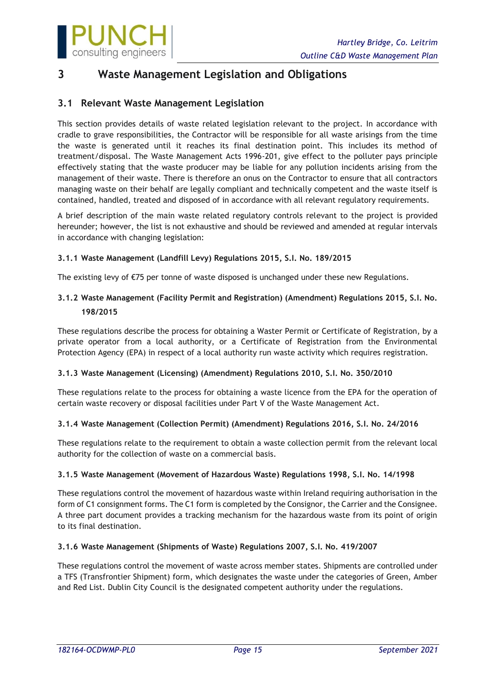

## <span id="page-15-0"></span>**3 Waste Management Legislation and Obligations**

## <span id="page-15-1"></span>**3.1 Relevant Waste Management Legislation**

This section provides details of waste related legislation relevant to the project. In accordance with cradle to grave responsibilities, the Contractor will be responsible for all waste arisings from the time the waste is generated until it reaches its final destination point. This includes its method of treatment/disposal. The Waste Management Acts 1996-201, give effect to the polluter pays principle effectively stating that the waste producer may be liable for any pollution incidents arising from the management of their waste. There is therefore an onus on the Contractor to ensure that all contractors managing waste on their behalf are legally compliant and technically competent and the waste itself is contained, handled, treated and disposed of in accordance with all relevant regulatory requirements.

A brief description of the main waste related regulatory controls relevant to the project is provided hereunder; however, the list is not exhaustive and should be reviewed and amended at regular intervals in accordance with changing legislation:

### <span id="page-15-2"></span>**3.1.1 Waste Management (Landfill Levy) Regulations 2015, S.I. No. 189/2015**

The existing levy of €75 per tonne of waste disposed is unchanged under these new Regulations.

### <span id="page-15-3"></span>**3.1.2 Waste Management (Facility Permit and Registration) (Amendment) Regulations 2015, S.I. No. 198/2015**

These regulations describe the process for obtaining a Waster Permit or Certificate of Registration, by a private operator from a local authority, or a Certificate of Registration from the Environmental Protection Agency (EPA) in respect of a local authority run waste activity which requires registration.

### <span id="page-15-4"></span>**3.1.3 Waste Management (Licensing) (Amendment) Regulations 2010, S.I. No. 350/2010**

These regulations relate to the process for obtaining a waste licence from the EPA for the operation of certain waste recovery or disposal facilities under Part V of the Waste Management Act.

### <span id="page-15-5"></span>**3.1.4 Waste Management (Collection Permit) (Amendment) Regulations 2016, S.I. No. 24/2016**

These regulations relate to the requirement to obtain a waste collection permit from the relevant local authority for the collection of waste on a commercial basis.

### <span id="page-15-6"></span>**3.1.5 Waste Management (Movement of Hazardous Waste) Regulations 1998, S.I. No. 14/1998**

These regulations control the movement of hazardous waste within Ireland requiring authorisation in the form of C1 consignment forms. The C1 form is completed by the Consignor, the Carrier and the Consignee. A three part document provides a tracking mechanism for the hazardous waste from its point of origin to its final destination.

### <span id="page-15-7"></span>**3.1.6 Waste Management (Shipments of Waste) Regulations 2007, S.I. No. 419/2007**

These regulations control the movement of waste across member states. Shipments are controlled under a TFS (Transfrontier Shipment) form, which designates the waste under the categories of Green, Amber and Red List. Dublin City Council is the designated competent authority under the regulations.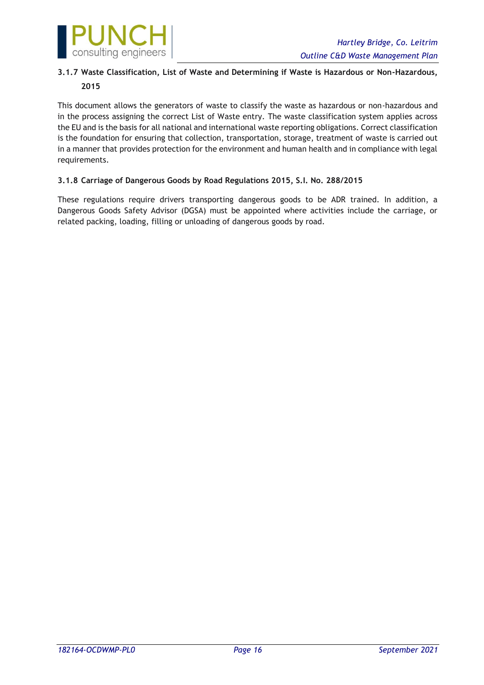

## <span id="page-16-0"></span>**3.1.7 Waste Classification, List of Waste and Determining if Waste is Hazardous or Non-Hazardous, 2015**

This document allows the generators of waste to classify the waste as hazardous or non-hazardous and in the process assigning the correct List of Waste entry. The waste classification system applies across the EU and is the basis for all national and international waste reporting obligations. Correct classification is the foundation for ensuring that collection, transportation, storage, treatment of waste is carried out in a manner that provides protection for the environment and human health and in compliance with legal requirements.

### <span id="page-16-1"></span>**3.1.8 Carriage of Dangerous Goods by Road Regulations 2015, S.I. No. 288/2015**

These regulations require drivers transporting dangerous goods to be ADR trained. In addition, a Dangerous Goods Safety Advisor (DGSA) must be appointed where activities include the carriage, or related packing, loading, filling or unloading of dangerous goods by road.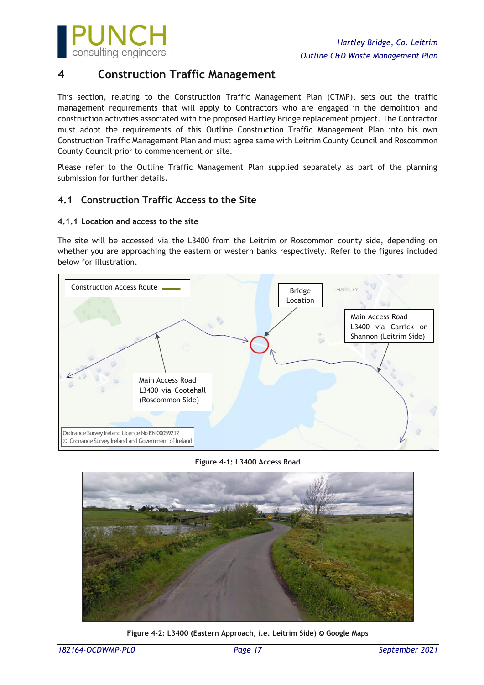

## <span id="page-17-0"></span>**4 Construction Traffic Management**

This section, relating to the Construction Traffic Management Plan (CTMP), sets out the traffic management requirements that will apply to Contractors who are engaged in the demolition and construction activities associated with the proposed Hartley Bridge replacement project. The Contractor must adopt the requirements of this Outline Construction Traffic Management Plan into his own Construction Traffic Management Plan and must agree same with Leitrim County Council and Roscommon County Council prior to commencement on site.

Please refer to the Outline Traffic Management Plan supplied separately as part of the planning submission for further details.

## <span id="page-17-1"></span>**4.1 Construction Traffic Access to the Site**

### <span id="page-17-2"></span>**4.1.1 Location and access to the site**

The site will be accessed via the L3400 from the Leitrim or Roscommon county side, depending on whether you are approaching the eastern or western banks respectively. Refer to the figures included below for illustration.



#### **Figure 4-1: L3400 Access Road**



**Figure 4-2: L3400 (Eastern Approach, i.e. Leitrim Side) © Google Maps**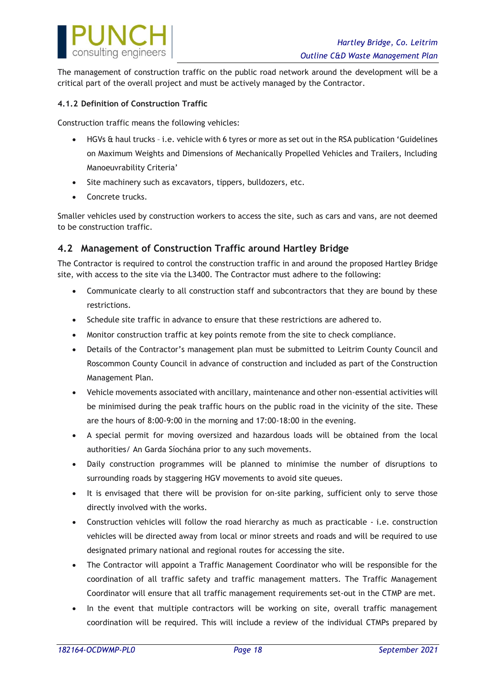

The management of construction traffic on the public road network around the development will be a critical part of the overall project and must be actively managed by the Contractor.

### <span id="page-18-0"></span>**4.1.2 Definition of Construction Traffic**

Construction traffic means the following vehicles:

- HGVs & haul trucks i.e. vehicle with 6 tyres or more as set out in the RSA publication 'Guidelines on Maximum Weights and Dimensions of Mechanically Propelled Vehicles and Trailers, Including Manoeuvrability Criteria'
- Site machinery such as excavators, tippers, bulldozers, etc.
- Concrete trucks.

Smaller vehicles used by construction workers to access the site, such as cars and vans, are not deemed to be construction traffic.

### <span id="page-18-1"></span>**4.2 Management of Construction Traffic around Hartley Bridge**

The Contractor is required to control the construction traffic in and around the proposed Hartley Bridge site, with access to the site via the L3400. The Contractor must adhere to the following:

- Communicate clearly to all construction staff and subcontractors that they are bound by these restrictions.
- Schedule site traffic in advance to ensure that these restrictions are adhered to.
- Monitor construction traffic at key points remote from the site to check compliance.
- Details of the Contractor's management plan must be submitted to Leitrim County Council and Roscommon County Council in advance of construction and included as part of the Construction Management Plan.
- Vehicle movements associated with ancillary, maintenance and other non-essential activities will be minimised during the peak traffic hours on the public road in the vicinity of the site. These are the hours of 8:00-9:00 in the morning and 17:00-18:00 in the evening.
- A special permit for moving oversized and hazardous loads will be obtained from the local authorities/ An Garda Síochána prior to any such movements.
- Daily construction programmes will be planned to minimise the number of disruptions to surrounding roads by staggering HGV movements to avoid site queues.
- It is envisaged that there will be provision for on-site parking, sufficient only to serve those directly involved with the works.
- Construction vehicles will follow the road hierarchy as much as practicable i.e. construction vehicles will be directed away from local or minor streets and roads and will be required to use designated primary national and regional routes for accessing the site.
- The Contractor will appoint a Traffic Management Coordinator who will be responsible for the coordination of all traffic safety and traffic management matters. The Traffic Management Coordinator will ensure that all traffic management requirements set-out in the CTMP are met.
- In the event that multiple contractors will be working on site, overall traffic management coordination will be required. This will include a review of the individual CTMPs prepared by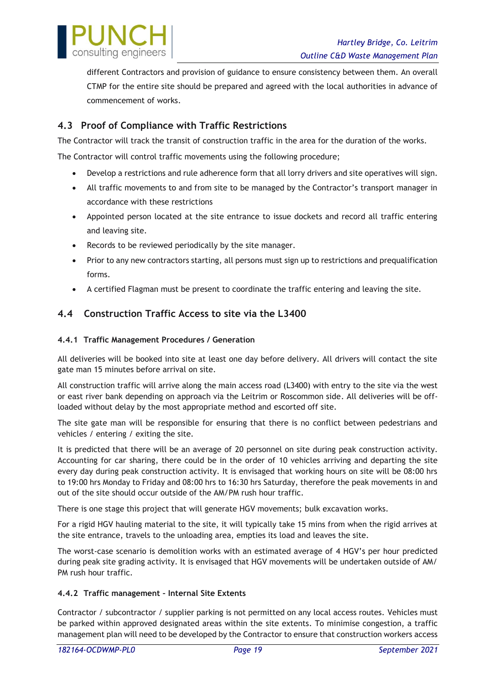

different Contractors and provision of guidance to ensure consistency between them. An overall CTMP for the entire site should be prepared and agreed with the local authorities in advance of commencement of works.

## <span id="page-19-0"></span>**4.3 Proof of Compliance with Traffic Restrictions**

The Contractor will track the transit of construction traffic in the area for the duration of the works.

The Contractor will control traffic movements using the following procedure;

- Develop a restrictions and rule adherence form that all lorry drivers and site operatives will sign.
- All traffic movements to and from site to be managed by the Contractor's transport manager in accordance with these restrictions
- Appointed person located at the site entrance to issue dockets and record all traffic entering and leaving site.
- Records to be reviewed periodically by the site manager.
- Prior to any new contractors starting, all persons must sign up to restrictions and prequalification forms.
- <span id="page-19-1"></span>• A certified Flagman must be present to coordinate the traffic entering and leaving the site.

## **4.4 Construction Traffic Access to site via the L3400**

### <span id="page-19-2"></span>**4.4.1 Traffic Management Procedures / Generation**

All deliveries will be booked into site at least one day before delivery. All drivers will contact the site gate man 15 minutes before arrival on site.

All construction traffic will arrive along the main access road (L3400) with entry to the site via the west or east river bank depending on approach via the Leitrim or Roscommon side. All deliveries will be offloaded without delay by the most appropriate method and escorted off site.

The site gate man will be responsible for ensuring that there is no conflict between pedestrians and vehicles / entering / exiting the site.

It is predicted that there will be an average of 20 personnel on site during peak construction activity. Accounting for car sharing, there could be in the order of 10 vehicles arriving and departing the site every day during peak construction activity. It is envisaged that working hours on site will be 08:00 hrs to 19:00 hrs Monday to Friday and 08:00 hrs to 16:30 hrs Saturday, therefore the peak movements in and out of the site should occur outside of the AM/PM rush hour traffic.

There is one stage this project that will generate HGV movements; bulk excavation works.

For a rigid HGV hauling material to the site, it will typically take 15 mins from when the rigid arrives at the site entrance, travels to the unloading area, empties its load and leaves the site.

The worst-case scenario is demolition works with an estimated average of 4 HGV's per hour predicted during peak site grading activity. It is envisaged that HGV movements will be undertaken outside of AM/ PM rush hour traffic.

### <span id="page-19-3"></span>**4.4.2 Traffic management – Internal Site Extents**

Contractor / subcontractor / supplier parking is not permitted on any local access routes. Vehicles must be parked within approved designated areas within the site extents. To minimise congestion, a traffic management plan will need to be developed by the Contractor to ensure that construction workers access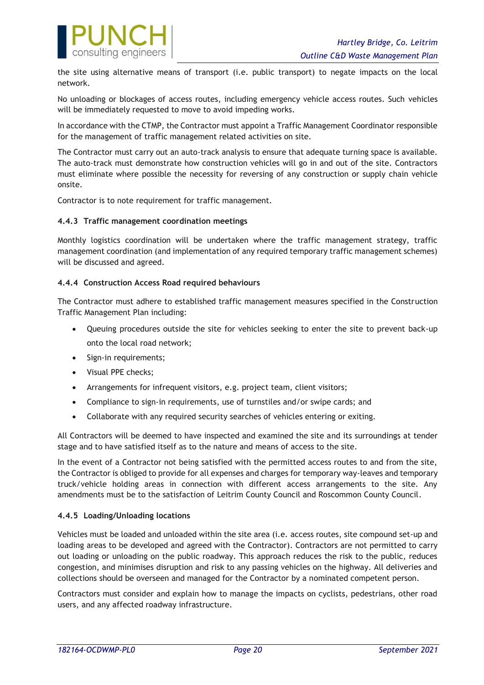

the site using alternative means of transport (i.e. public transport) to negate impacts on the local network.

No unloading or blockages of access routes, including emergency vehicle access routes. Such vehicles will be immediately requested to move to avoid impeding works.

In accordance with the CTMP, the Contractor must appoint a Traffic Management Coordinator responsible for the management of traffic management related activities on site.

The Contractor must carry out an auto-track analysis to ensure that adequate turning space is available. The auto-track must demonstrate how construction vehicles will go in and out of the site. Contractors must eliminate where possible the necessity for reversing of any construction or supply chain vehicle onsite.

Contractor is to note requirement for traffic management.

### <span id="page-20-0"></span>**4.4.3 Traffic management coordination meetings**

Monthly logistics coordination will be undertaken where the traffic management strategy, traffic management coordination (and implementation of any required temporary traffic management schemes) will be discussed and agreed.

### <span id="page-20-1"></span>**4.4.4 Construction Access Road required behaviours**

The Contractor must adhere to established traffic management measures specified in the Construction Traffic Management Plan including:

- Queuing procedures outside the site for vehicles seeking to enter the site to prevent back-up onto the local road network;
- Sign-in requirements;
- Visual PPE checks;
- Arrangements for infrequent visitors, e.g. project team, client visitors;
- Compliance to sign-in requirements, use of turnstiles and/or swipe cards; and
- Collaborate with any required security searches of vehicles entering or exiting.

All Contractors will be deemed to have inspected and examined the site and its surroundings at tender stage and to have satisfied itself as to the nature and means of access to the site.

In the event of a Contractor not being satisfied with the permitted access routes to and from the site, the Contractor is obliged to provide for all expenses and charges for temporary way-leaves and temporary truck/vehicle holding areas in connection with different access arrangements to the site. Any amendments must be to the satisfaction of Leitrim County Council and Roscommon County Council.

### <span id="page-20-2"></span>**4.4.5 Loading/Unloading locations**

Vehicles must be loaded and unloaded within the site area (i.e. access routes, site compound set-up and loading areas to be developed and agreed with the Contractor). Contractors are not permitted to carry out loading or unloading on the public roadway. This approach reduces the risk to the public, reduces congestion, and minimises disruption and risk to any passing vehicles on the highway. All deliveries and collections should be overseen and managed for the Contractor by a nominated competent person.

Contractors must consider and explain how to manage the impacts on cyclists, pedestrians, other road users, and any affected roadway infrastructure.